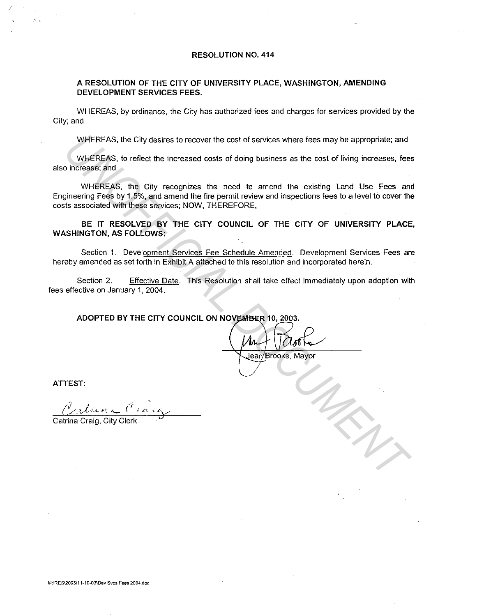#### RESOLUTION NO. 414

#### A RESOLUTION OF THE CITY OF UNIVERSITY PLACE, WASHINGTON, AMENDING DEVELOPMENT SERVICES FEES.

WHEREAS, by ordinance, the City has authorized fees and charges for services provided by the City; and

WHEREAS, the City desires to recover the cost of services where fees may be appropriate; and

WHEREAS, to reflect the increased costs of doing business as the cost of living increases, fees also increase; and

WHEREAS, the City recognizes the need to amend the existing Land Use Fees and Engineering Fees by 1.5%, and amend the fire permit review and inspections fees to a level to cover the costs associated with these services; NOW, THEREFORE, WHEREAS, the City desires to recover the cost of services where fees may be appropriate; and<br>
UNIFICIAL to reflect the increased costs of doing business as the cost of living increases, fee<br>
uncerases, and<br>
UNIFICIAL DOCUM

BE IT RESOLVED BY THE CITY COUNCIL OF THE CITY OF UNIVERSITY PLACE, WASHINGTON, AS FOLLOWS:

Section 1. Development Services Fee Schedule Amended. Development Services Fees are hereby amended as set forth in Exhibit A attached to this resolution and incorporated herein.

Section 2. Effective Date. This Resolution shall take effect immediately upon adoption with fees effective on January 1, 2004.

ATTEST:

Catrina Craig, City Clerk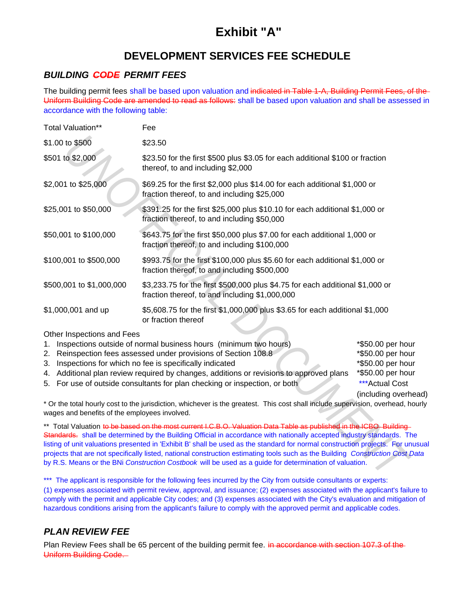# **Exhibit "A"**

# **DEVELOPMENT SERVICES FEE SCHEDULE**

# *BUILDING CODE PERMIT FEES*

The building permit fees shall be based upon valuation and indicated in Table 1-A, Building Permit Fees, of the Uniform Building Code are amended to read as follows: shall be based upon valuation and shall be assessed in accordance with the following table:

| Total Valuation**                                                                                                                                     | Fee                                                                                                                                                                                                                                                                                                                                                                                                                                                                                                                                                                                                                |                                                                                                                           |  |
|-------------------------------------------------------------------------------------------------------------------------------------------------------|--------------------------------------------------------------------------------------------------------------------------------------------------------------------------------------------------------------------------------------------------------------------------------------------------------------------------------------------------------------------------------------------------------------------------------------------------------------------------------------------------------------------------------------------------------------------------------------------------------------------|---------------------------------------------------------------------------------------------------------------------------|--|
| \$1.00 to \$500                                                                                                                                       | \$23.50                                                                                                                                                                                                                                                                                                                                                                                                                                                                                                                                                                                                            |                                                                                                                           |  |
| \$501 to \$2,000                                                                                                                                      | \$23.50 for the first \$500 plus \$3.05 for each additional \$100 or fraction<br>thereof, to and including \$2,000                                                                                                                                                                                                                                                                                                                                                                                                                                                                                                 |                                                                                                                           |  |
| \$2,001 to \$25,000                                                                                                                                   | \$69.25 for the first \$2,000 plus \$14.00 for each additional \$1,000 or<br>fraction thereof, to and including \$25,000                                                                                                                                                                                                                                                                                                                                                                                                                                                                                           |                                                                                                                           |  |
| \$25,001 to \$50,000                                                                                                                                  | \$391.25 for the first \$25,000 plus \$10.10 for each additional \$1,000 or<br>fraction thereof, to and including \$50,000                                                                                                                                                                                                                                                                                                                                                                                                                                                                                         |                                                                                                                           |  |
| \$50,001 to \$100,000                                                                                                                                 | \$643.75 for the first \$50,000 plus \$7.00 for each additional 1,000 or<br>fraction thereof, to and including \$100,000                                                                                                                                                                                                                                                                                                                                                                                                                                                                                           |                                                                                                                           |  |
| \$100,001 to \$500,000<br>\$993.75 for the first \$100,000 plus \$5.60 for each additional \$1,000 or<br>fraction thereof, to and including \$500,000 |                                                                                                                                                                                                                                                                                                                                                                                                                                                                                                                                                                                                                    |                                                                                                                           |  |
| \$500,001 to \$1,000,000                                                                                                                              | \$3,233.75 for the first \$500,000 plus \$4.75 for each additional \$1,000 or<br>fraction thereof, to and including \$1,000,000                                                                                                                                                                                                                                                                                                                                                                                                                                                                                    |                                                                                                                           |  |
| \$1,000,001 and up                                                                                                                                    | \$5,608.75 for the first \$1,000,000 plus \$3.65 for each additional \$1,000<br>or fraction thereof                                                                                                                                                                                                                                                                                                                                                                                                                                                                                                                |                                                                                                                           |  |
| Other Inspections and Fees<br>1.<br>2.<br>3.                                                                                                          | Inspections outside of normal business hours (minimum two hours)<br>Reinspection fees assessed under provisions of Section 108.8<br>Inspections for which no fee is specifically indicated<br>4. Additional plan review required by changes, additions or revisions to approved plans<br>5. For use of outside consultants for plan checking or inspection, or both                                                                                                                                                                                                                                                | *\$50.00 per hou<br>*\$50.00 per hou<br>*\$50.00 per hou<br>*\$50.00 per hou<br><b>***Actual Cost</b><br>(including overh |  |
| wages and benefits of the employees involved.                                                                                                         | * Or the total hourly cost to the jurisdiction, whichever is the greatest. This cost shall include supervision, overhead, h                                                                                                                                                                                                                                                                                                                                                                                                                                                                                        |                                                                                                                           |  |
|                                                                                                                                                       | ** Total Valuation to be based on the most current I.C.B.O. Valuation Data Table as published in the ICBO-Building<br>Standards. shall be determined by the Building Official in accordance with nationally accepted industry standards. The<br>listing of unit valuations presented in 'Exhibit B' shall be used as the standard for normal construction projects. For ur<br>projects that are not specifically listed, national construction estimating tools such as the Building Construction Cost I<br>by R.S. Means or the BNi Construction Costbook will be used as a guide for determination of valuation. |                                                                                                                           |  |
|                                                                                                                                                       | *** The engligant is reaponsible for the following fees incurred by the City from outside consultante or experter                                                                                                                                                                                                                                                                                                                                                                                                                                                                                                  |                                                                                                                           |  |

| 1. Inspections outside of normal business hours (minimum two hours)                     | *\$50.00 per hour    |
|-----------------------------------------------------------------------------------------|----------------------|
| 2. Reinspection fees assessed under provisions of Section 108.8                         | *\$50.00 per hour    |
| 3. Inspections for which no fee is specifically indicated                               | *\$50.00 per hour    |
| 4. Additional plan review required by changes, additions or revisions to approved plans | *\$50.00 per hour    |
| 5. For use of outside consultants for plan checking or inspection, or both              | ***Actual Cost       |
|                                                                                         | (including overhead) |

\*\* Total Valuation to be based on the most current I.C.B.O. Valuation Data Table as published in the ICBO Building Standards. shall be determined by the Building Official in accordance with nationally accepted industry standards. The listing of unit valuations presented in 'Exhibit B' shall be used as the standard for normal construction projects. For unusual projects that are not specifically listed, national construction estimating tools such as the Building *Construction Cost Data*  by R.S. Means or the BNi *Construction Costbook* will be used as a guide for determination of valuation.

(1) expenses associated with permit review, approval, and issuance; (2) expenses associated with the applicant's failure to comply with the permit and applicable City codes; and (3) expenses associated with the City's evaluation and mitigation of hazardous conditions arising from the applicant's failure to comply with the approved permit and applicable codes. \*\*\* The applicant is responsible for the following fees incurred by the City from outside consultants or experts:

# *PLAN REVIEW FEE*

Plan Review Fees shall be 65 percent of the building permit fee. in accordance with section 107.3 of the Uniform Building Code.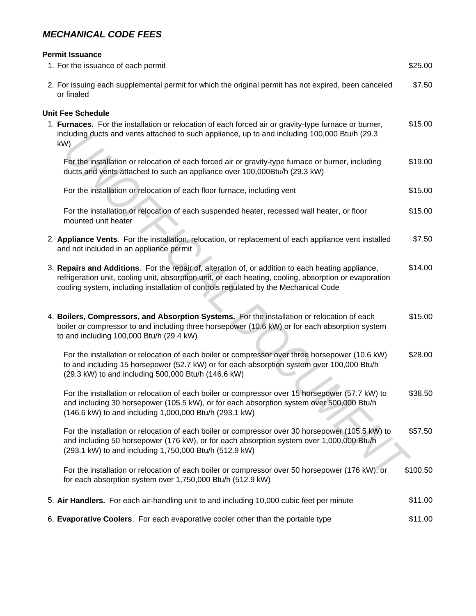# *MECHANICAL CODE FEES*

| <b>Permit Issuance</b>                                                                                                                                                                                                                                                                              |          |
|-----------------------------------------------------------------------------------------------------------------------------------------------------------------------------------------------------------------------------------------------------------------------------------------------------|----------|
| 1. For the issuance of each permit                                                                                                                                                                                                                                                                  | \$25.00  |
| 2. For issuing each supplemental permit for which the original permit has not expired, been canceled<br>or finaled                                                                                                                                                                                  | \$7.50   |
| <b>Unit Fee Schedule</b>                                                                                                                                                                                                                                                                            |          |
| 1. Furnaces. For the installation or relocation of each forced air or gravity-type furnace or burner,<br>including ducts and vents attached to such appliance, up to and including 100,000 Btu/h (29.3)<br>kW)                                                                                      | \$15.00  |
| For the installation or relocation of each forced air or gravity-type furnace or burner, including<br>ducts and vents attached to such an appliance over 100,000Btu/h (29.3 kW)                                                                                                                     | \$19.00  |
| For the installation or relocation of each floor furnace, including vent                                                                                                                                                                                                                            | \$15.00  |
| For the installation or relocation of each suspended heater, recessed wall heater, or floor<br>mounted unit heater                                                                                                                                                                                  | \$15.00  |
| 2. Appliance Vents. For the installation, relocation, or replacement of each appliance vent installed<br>and not included in an appliance permit                                                                                                                                                    | \$7.50   |
| 3. Repairs and Additions. For the repair of, alteration of, or addition to each heating appliance,<br>refrigeration unit, cooling unit, absorption unit, or each heating, cooling, absorption or evaporation<br>cooling system, including installation of controls regulated by the Mechanical Code | \$14.00  |
| 4. Boilers, Compressors, and Absorption Systems. For the installation or relocation of each<br>boiler or compressor to and including three horsepower (10.6 kW) or for each absorption system<br>to and including 100,000 Btu/h (29.4 kW)                                                           | \$15.00  |
| For the installation or relocation of each boiler or compressor over three horsepower (10.6 kW)<br>to and including 15 horsepower (52.7 kW) or for each absorption system over 100,000 Btu/h<br>(29.3 kW) to and including 500,000 Btu/h (146.6 kW)                                                 | \$28.00  |
| For the installation or relocation of each boiler or compressor over 15 horsepower (57.7 kW) to<br>and including 30 horsepower (105.5 kW), or for each absorption system over 500,000 Btu/h<br>(146.6 kW) to and including 1,000,000 Btu/h (293.1 kW)                                               | \$38.50  |
| For the installation or relocation of each boiler or compressor over 30 horsepower (105.5 kW) to<br>and including 50 horsepower (176 kW), or for each absorption system over 1,000,000 Btu/h<br>(293.1 kW) to and including 1,750,000 Btu/h (512.9 kW)                                              | \$57.50  |
| For the installation or relocation of each boiler or compressor over 50 horsepower (176 kW), or<br>for each absorption system over 1,750,000 Btu/h (512.9 kW)                                                                                                                                       | \$100.50 |
| 5. Air Handlers. For each air-handling unit to and including 10,000 cubic feet per minute                                                                                                                                                                                                           | \$11.00  |
| 6. Evaporative Coolers. For each evaporative cooler other than the portable type                                                                                                                                                                                                                    | \$11.00  |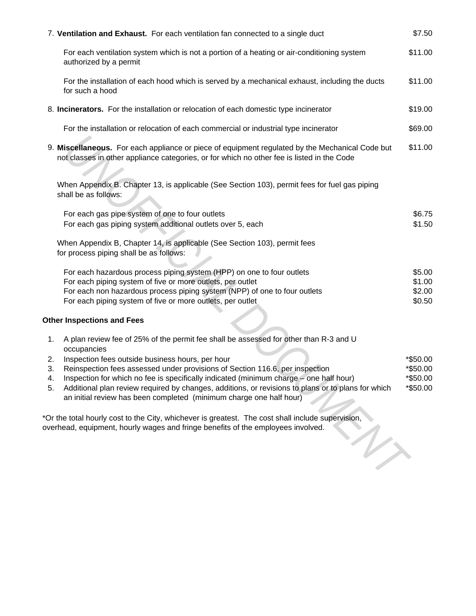| 7. Ventilation and Exhaust. For each ventilation fan connected to a single duct                                                                                                                                                                                                                                                                                                                                                                                                                                                                                                                                                                                                                                                        | \$7.50                                       |
|----------------------------------------------------------------------------------------------------------------------------------------------------------------------------------------------------------------------------------------------------------------------------------------------------------------------------------------------------------------------------------------------------------------------------------------------------------------------------------------------------------------------------------------------------------------------------------------------------------------------------------------------------------------------------------------------------------------------------------------|----------------------------------------------|
| For each ventilation system which is not a portion of a heating or air-conditioning system<br>authorized by a permit                                                                                                                                                                                                                                                                                                                                                                                                                                                                                                                                                                                                                   | \$11.00                                      |
| For the installation of each hood which is served by a mechanical exhaust, including the ducts<br>for such a hood                                                                                                                                                                                                                                                                                                                                                                                                                                                                                                                                                                                                                      | \$11.00                                      |
| 8. Incinerators. For the installation or relocation of each domestic type incinerator                                                                                                                                                                                                                                                                                                                                                                                                                                                                                                                                                                                                                                                  | \$19.00                                      |
| For the installation or relocation of each commercial or industrial type incinerator                                                                                                                                                                                                                                                                                                                                                                                                                                                                                                                                                                                                                                                   | \$69.00                                      |
| 9. Miscellaneous. For each appliance or piece of equipment regulated by the Mechanical Code but<br>not classes in other appliance categories, or for which no other fee is listed in the Code                                                                                                                                                                                                                                                                                                                                                                                                                                                                                                                                          | \$11.00                                      |
| When Appendix B. Chapter 13, is applicable (See Section 103), permit fees for fuel gas piping<br>shall be as follows:                                                                                                                                                                                                                                                                                                                                                                                                                                                                                                                                                                                                                  |                                              |
| For each gas pipe system of one to four outlets<br>For each gas piping system additional outlets over 5, each                                                                                                                                                                                                                                                                                                                                                                                                                                                                                                                                                                                                                          | \$6.75<br>\$1.50                             |
| When Appendix B, Chapter 14, is applicable (See Section 103), permit fees<br>for process piping shall be as follows:                                                                                                                                                                                                                                                                                                                                                                                                                                                                                                                                                                                                                   |                                              |
| For each hazardous process piping system (HPP) on one to four outlets<br>For each piping system of five or more outlets, per outlet<br>For each non hazardous process piping system (NPP) of one to four outlets<br>For each piping system of five or more outlets, per outlet                                                                                                                                                                                                                                                                                                                                                                                                                                                         | \$5.00<br>\$1.00<br>\$2.00<br>\$0.50         |
| <b>Other Inspections and Fees</b>                                                                                                                                                                                                                                                                                                                                                                                                                                                                                                                                                                                                                                                                                                      |                                              |
| A plan review fee of 25% of the permit fee shall be assessed for other than R-3 and U<br>1.<br>occupancies<br>Inspection fees outside business hours, per hour<br>2.<br>Reinspection fees assessed under provisions of Section 116.6, per inspection<br>3.<br>4.<br>Inspection for which no fee is specifically indicated (minimum charge – one half hour)<br>Additional plan review required by changes, additions, or revisions to plans or to plans for which<br>5.<br>an initial review has been completed (minimum charge one half hour)<br>*Or the total hourly cost to the City, whichever is greatest. The cost shall include supervision,<br>overhead, equipment, hourly wages and fringe benefits of the employees involved. | *\$50.00<br>*\$50.00<br>*\$50.00<br>*\$50.00 |
|                                                                                                                                                                                                                                                                                                                                                                                                                                                                                                                                                                                                                                                                                                                                        |                                              |

- 3. Reinspection fees assessed under provisions of Section 116.6, per inspection  $*$ \$50.00
- 4. Inspection for which no fee is specifically indicated (minimum charge one half hour)  $*$ \$50.00 5. Additional plan review required by changes, additions, or revisions to plans or to plans for which  $*$ \$50.00 an initial review has been completed (minimum charge one half hour)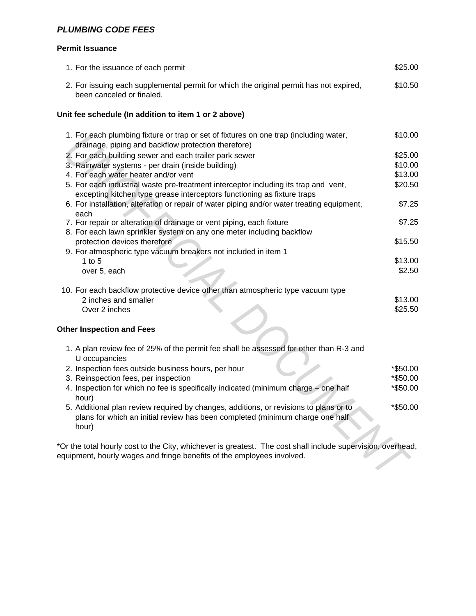# *PLUMBING CODE FEES*

#### **Permit Issuance**

| 1. For the issuance of each permit                                                                                                                                                    | \$25.00  |
|---------------------------------------------------------------------------------------------------------------------------------------------------------------------------------------|----------|
| 2. For issuing each supplemental permit for which the original permit has not expired,<br>been canceled or finaled.                                                                   | \$10.50  |
| Unit fee schedule (In addition to item 1 or 2 above)                                                                                                                                  |          |
| 1. For each plumbing fixture or trap or set of fixtures on one trap (including water,<br>drainage, piping and backflow protection therefore)                                          | \$10.00  |
|                                                                                                                                                                                       | \$25.00  |
| 2. For each building sewer and each trailer park sewer                                                                                                                                | \$10.00  |
| 3. Rainwater systems - per drain (inside building)<br>4. For each water heater and/or vent                                                                                            | \$13.00  |
|                                                                                                                                                                                       |          |
| 5. For each industrial waste pre-treatment interceptor including its trap and vent,<br>excepting kitchen type grease interceptors functioning as fixture traps                        | \$20.50  |
| 6. For installation, alteration or repair of water piping and/or water treating equipment,                                                                                            | \$7.25   |
| each<br>7. For repair or alteration of drainage or vent piping, each fixture                                                                                                          | \$7.25   |
| 8. For each lawn sprinkler system on any one meter including backflow                                                                                                                 |          |
| protection devices therefore                                                                                                                                                          | \$15.50  |
| 9. For atmospheric type vacuum breakers not included in item 1                                                                                                                        |          |
| 1 to $5$                                                                                                                                                                              | \$13.00  |
| over 5, each                                                                                                                                                                          | \$2.50   |
|                                                                                                                                                                                       |          |
| 10. For each backflow protective device other than atmospheric type vacuum type                                                                                                       |          |
| 2 inches and smaller                                                                                                                                                                  | \$13.00  |
| Over 2 inches                                                                                                                                                                         | \$25.50  |
|                                                                                                                                                                                       |          |
| <b>Other Inspection and Fees</b>                                                                                                                                                      |          |
| 1. A plan review fee of 25% of the permit fee shall be assessed for other than R-3 and                                                                                                |          |
| U occupancies                                                                                                                                                                         |          |
| 2. Inspection fees outside business hours, per hour                                                                                                                                   | *\$50.00 |
| 3. Reinspection fees, per inspection                                                                                                                                                  | *\$50.00 |
| 4. Inspection for which no fee is specifically indicated (minimum charge - one half                                                                                                   | *\$50.00 |
| hour)                                                                                                                                                                                 |          |
| 5. Additional plan review required by changes, additions, or revisions to plans or to<br>plans for which an initial review has been completed (minimum charge one half<br>hour)       | *\$50.00 |
| *Or the total hourly cost to the City, whichever is greatest. The cost shall include supervision, overhead,<br>equipment, hourly wages and fringe benefits of the employees involved. |          |
|                                                                                                                                                                                       |          |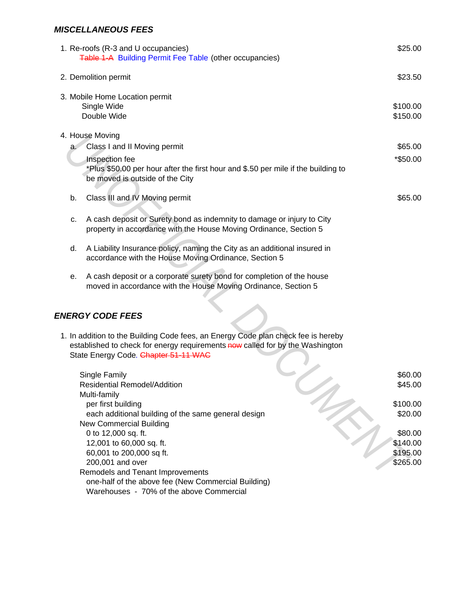### *MISCELLANEOUS FEES*

one-half of the above fee (New Commercial Building) Warehouses - 70% of the above Commercial

| 1. Re-roofs (R-3 and U occupancies)<br>Table 1-A Building Permit Fee Table (other occupancies)                                                                                                             | \$25.00                                     |
|------------------------------------------------------------------------------------------------------------------------------------------------------------------------------------------------------------|---------------------------------------------|
| 2. Demolition permit                                                                                                                                                                                       | \$23.50                                     |
| 3. Mobile Home Location permit<br>Single Wide<br>Double Wide                                                                                                                                               | \$100.00<br>\$150.00                        |
| 4. House Moving<br>a. Class I and II Moving permit<br>Inspection fee<br>*Plus \$50.00 per hour after the first hour and \$.50 per mile if the building to<br>be moved is outside of the City               | \$65.00<br>*\$50.00                         |
| Class III and IV Moving permit<br>b.                                                                                                                                                                       | \$65.00                                     |
| A cash deposit or Surety bond as indemnity to damage or injury to City<br>c.<br>property in accordance with the House Moving Ordinance, Section 5                                                          |                                             |
| A Liability Insurance policy, naming the City as an additional insured in<br>d.<br>accordance with the House Moving Ordinance, Section 5                                                                   |                                             |
| A cash deposit or a corporate surety bond for completion of the house<br>е.<br>moved in accordance with the House Moving Ordinance, Section 5                                                              |                                             |
| <b>ENERGY CODE FEES</b>                                                                                                                                                                                    |                                             |
| 1. In addition to the Building Code fees, an Energy Code plan check fee is hereby<br>established to check for energy requirements now called for by the Washington<br>State Energy Code. Chapter 51-11 WAC |                                             |
| Single Family<br><b>Residential Remodel/Addition</b><br>Multi-family                                                                                                                                       | \$60.00<br>\$45.00                          |
| per first building<br>each additional building of the same general design<br>New Commercial Building                                                                                                       | \$100.00<br>\$20.00                         |
| 0 to 12,000 sq. ft.<br>12,001 to 60,000 sq. ft.<br>60,001 to 200,000 sq ft.<br>200,001 and over<br>Remodels and Tenant Improvements                                                                        | \$80.00<br>\$140.00<br>\$195.00<br>\$265.00 |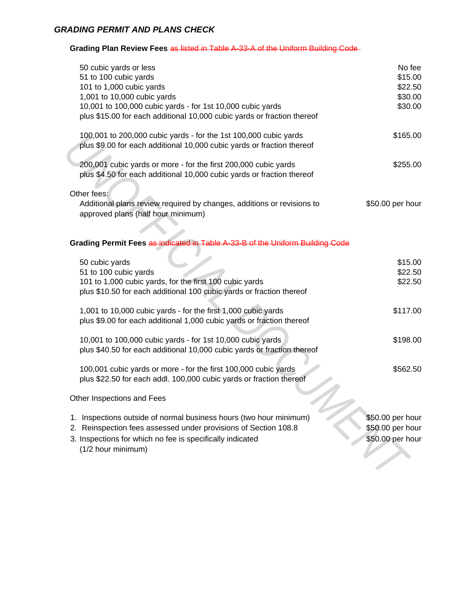### *GRADING PERMIT AND PLANS CHECK*

**Grading Plan Review Fees** as listed in Table A-33-A of the Uniform Building Code

| 50 cubic yards or less<br>51 to 100 cubic yards<br>101 to 1,000 cubic yards<br>1,001 to 10,000 cubic yards<br>10,001 to 100,000 cubic yards - for 1st 10,000 cubic yards<br>plus \$15.00 for each additional 10,000 cubic yards or fraction thereof | No fee<br>\$15.00<br>\$22.50<br>\$30.00<br>\$30.00       |
|-----------------------------------------------------------------------------------------------------------------------------------------------------------------------------------------------------------------------------------------------------|----------------------------------------------------------|
| 100,001 to 200,000 cubic yards - for the 1st 100,000 cubic yards<br>plus \$9.00 for each additional 10,000 cubic yards or fraction thereof                                                                                                          | \$165.00                                                 |
| 200,001 cubic yards or more - for the first 200,000 cubic yards<br>plus \$4.50 for each additional 10,000 cubic yards or fraction thereof                                                                                                           | \$255.00                                                 |
| Other fees:<br>Additional plans review required by changes, additions or revisions to<br>approved plans (half hour minimum)                                                                                                                         | \$50.00 per hour                                         |
| Grading Permit Fees as indicated in Table A-33-B of the Uniform Building Code                                                                                                                                                                       |                                                          |
| 50 cubic yards<br>51 to 100 cubic yards<br>101 to 1,000 cubic yards, for the first 100 cubic yards<br>plus \$10.50 for each additional 100 cubic yards or fraction thereof                                                                          | \$15.00<br>\$22.50<br>\$22.50                            |
| 1,001 to 10,000 cubic yards - for the first 1,000 cubic yards<br>plus \$9.00 for each additional 1,000 cubic yards or fraction thereof                                                                                                              | \$117.00                                                 |
| 10,001 to 100,000 cubic yards - for 1st 10,000 cubic yards<br>plus \$40.50 for each additional 10,000 cubic yards or fraction thereof                                                                                                               | \$198.00                                                 |
| 100,001 cubic yards or more - for the first 100,000 cubic yards<br>plus \$22.50 for each addl. 100,000 cubic yards or fraction thereof                                                                                                              | \$562.50                                                 |
| Other Inspections and Fees                                                                                                                                                                                                                          |                                                          |
| 1. Inspections outside of normal business hours (two hour minimum)<br>2. Reinspection fees assessed under provisions of Section 108.8<br>3. Inspections for which no fee is specifically indicated<br>(1/2 hour minimum)                            | \$50.00 per hour<br>\$50.00 per hour<br>\$50.00 per hour |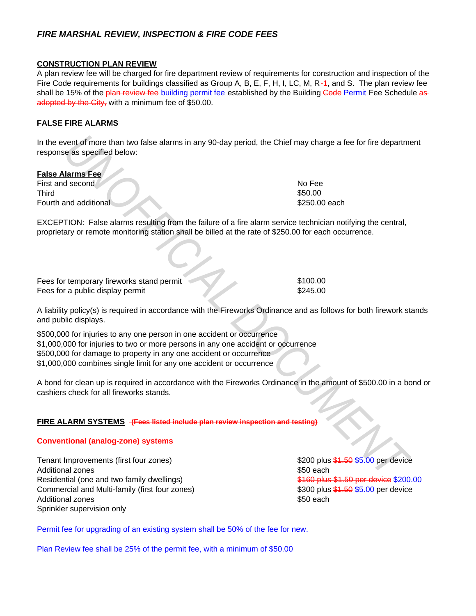# *FIRE MARSHAL REVIEW, INSPECTION & FIRE CODE FEES*

## **CONSTRUCTION PLAN REVIEW**

A plan review fee will be charged for fire department review of requirements for construction and inspection of the Fire Code requirements for buildings classified as Group A, B, E, F, H, I, LC, M, R $-4$ , and S. The plan review fee shall be 15% of the plan review fee building permit fee established by the Building Gode Permit Fee Schedule asadopted by the City, with a minimum fee of \$50.00.

## **FALSE FIRE ALARMS**

In the event of more than two false alarms in any 90-day period, the Chief may charge a fee for fire department response as specified below:

**False Alarms Fee** First and second Third Fourth and additional

EXCEPTION: False alarms resulting from the failure of a fire alarm service technician notifying the central, proprietary or remote monitoring station shall be billed at the rate of \$250.00 for each occurrence.

| Fees for temporary fireworks stand permit |  |
|-------------------------------------------|--|
| Fees for a public display permit          |  |

\$100.00 \$245.00

No Fee \$50.00 \$250.00 each

A liability policy(s) is required in accordance with the Fireworks Ordinance and as follows for both firework stands and public displays.

\$500,000 for injuries to any one person in one accident or occurrence \$1,000,000 for injuries to two or more persons in any one accident or occurrence \$500,000 for damage to property in any one accident or occurrence \$1,000,000 combines single limit for any one accident or occurrence **Example 5 and 10 model is a model in the model in the Chief may charge a fee for fire department of a fits specified below:**<br> **UNOFFICIAL DOCUMENT ASSOCION**<br> **UNOFFICIAL DOCUMENT ASSOCIONS**<br> **UNOFFICIAL DOCUMENT ASSOCIONS** 

A bond for clean up is required in accordance with the Fireworks Ordinance in the amount of \$500.00 in a bond or cashiers check for all fireworks stands.

### **FIRE ALARM SYSTEMS (Fees listed include plan review inspection and testing)**

### **Conventional (analog-zone) systems**

Tenant Improvements (first four zones) Additional zones Additional zones Commercial and Multi-family (first four zones) Residential (one and two family dwellings) Sprinkler supervision only

\$200 plus \$1.50 \$5.00 per device \$50 each \$160 plus \$1.50 per device \$200.00 \$300 plus \$1.50 \$5.00 per device \$50 each

Permit fee for upgrading of an existing system shall be 50% of the fee for new.

Plan Review fee shall be 25% of the permit fee, with a minimum of \$50.00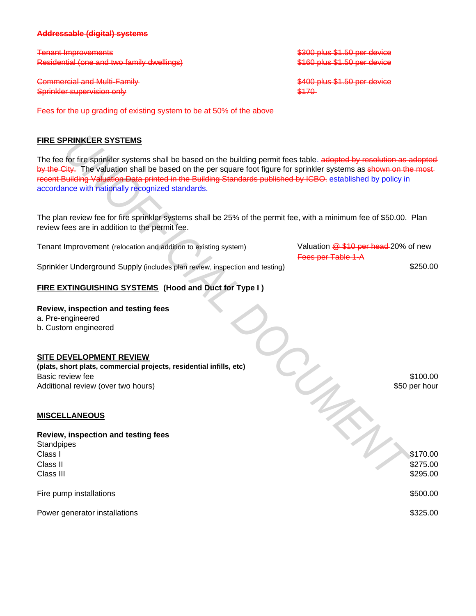#### **Addressable (digital) systems**

Residential (one and two family dwellings) Tenant Improvements

Commercial and Multi-Family Sprinkler supervision only

Fees for the up grading of existing system to be at 50% of the above

#### **FIRE SPRINKLER SYSTEMS**

The fee for fire sprinkler systems shall be based on the building permit fees table. adopted by resolution as adopted by the City. The valuation shall be based on the per square foot figure for sprinkler systems as shown on the mostrecent Building Valuation Data printed in the Building Standards published by ICBO. established by policy in accordance with nationally recognized standards. **PRINKLER SYSTEMS**<br>
for fire sprinkler systems shall be based on the building permit fees table adopted by resolution as a<br>
big line valuation shall be based on the per quare foot figure for sprinkler systems as above on t

The plan review fee for fire sprinkler systems shall be 25% of the permit fee, with a minimum fee of \$50.00. Plan review fees are in addition to the permit fee.

Valuation  $\frac{10}{2}$  \$10 per head 20% of new Fees per Table 1-A Sprinkler Underground Supply (includes plan review, inspection and testing) Tenant Improvement (relocation and addition to existing system)

#### **FIRE EXTINGUISHING SYSTEMS (Hood and Duct for Type I )**

#### **Review, inspection and testing fees**

a. Pre-engineered

b. Custom engineered

#### **SITE DEVELOPMENT REVIEW**

**(plats, short plats, commercial projects, residential infills, etc)** Basic review fee Additional review (over two hours)

#### **MISCELLANEOUS**

#### **Review, inspection and testing fees**

 $\sim$  Class I  $\sim$  \$170.00 Class II Class III **Standpipes** 

Fire pump installations

Power generator installations

\$300 plus \$1.50 per device \$160 plus \$1.50 per device

\$400 plus \$1.50 per device \$170

> \$100.00 \$50 per hour

\$250.00

\$275.00 \$295.00

\$500.00

\$325.00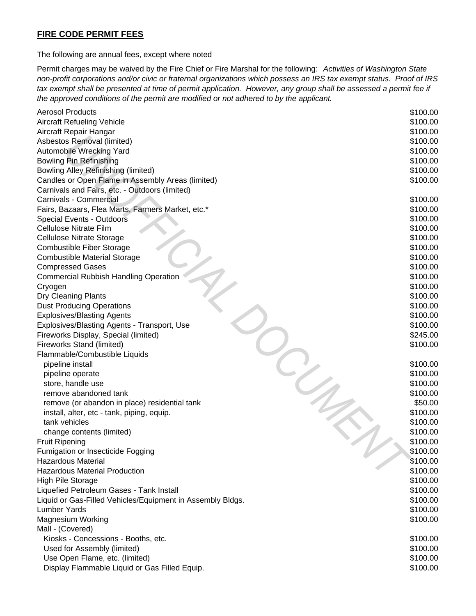# **FIRE CODE PERMIT FEES**

The following are annual fees, except where noted

Permit charges may be waived by the Fire Chief or Fire Marshal for the following: *Activities of Washington State non-profit corporations and/or civic or fraternal organizations which possess an IRS tax exempt status. Proof of IRS tax exempt shall be presented at time of permit application. However, any group shall be assessed a permit fee if the approved conditions of the permit are modified or not adhered to by the applicant.*

| <b>Aerosol Products</b>                                    | \$100.00 |
|------------------------------------------------------------|----------|
| <b>Aircraft Refueling Vehicle</b>                          | \$100.00 |
| Aircraft Repair Hangar                                     | \$100.00 |
| Asbestos Removal (limited)                                 | \$100.00 |
| Automobile Wrecking Yard                                   | \$100.00 |
| <b>Bowling Pin Refinishing</b>                             | \$100.00 |
| <b>Bowling Alley Refinishing (limited)</b>                 | \$100.00 |
| Candles or Open Flame in Assembly Areas (limited)          | \$100.00 |
| Carnivals and Fairs, etc. - Outdoors (limited)             |          |
| Carnivals - Commercial                                     | \$100.00 |
| Fairs, Bazaars, Flea Marts, Farmers Market, etc.*          | \$100.00 |
| Special Events - Outdoors                                  | \$100.00 |
| Cellulose Nitrate Film                                     | \$100.00 |
| <b>Cellulose Nitrate Storage</b>                           | \$100.00 |
| <b>Combustible Fiber Storage</b>                           | \$100.00 |
| <b>Combustible Material Storage</b>                        | \$100.00 |
| <b>Compressed Gases</b>                                    | \$100.00 |
| <b>Commercial Rubbish Handling Operation</b>               | \$100.00 |
| Cryogen                                                    | \$100.00 |
| <b>Dry Cleaning Plants</b>                                 | \$100.00 |
| <b>Dust Producing Operations</b>                           | \$100.00 |
| <b>Explosives/Blasting Agents</b>                          | \$100.00 |
| Explosives/Blasting Agents - Transport, Use                | \$100.00 |
| Fireworks Display, Special (limited)                       | \$245.00 |
| Fireworks Stand (limited)                                  | \$100.00 |
| Flammable/Combustible Liquids                              |          |
| pipeline install                                           | \$100.00 |
| pipeline operate                                           | \$100.00 |
| store, handle use                                          | \$100.00 |
| remove abandoned tank                                      | \$100.00 |
| remove (or abandon in place) residential tank              | \$50.00  |
| install, alter, etc - tank, piping, equip.                 | \$100.00 |
| tank vehicles                                              | \$100.00 |
| change contents (limited)                                  | \$100.00 |
| <b>Fruit Ripening</b>                                      | \$100.00 |
| Fumigation or Insecticide Fogging                          | \$100.00 |
| <b>Hazardous Material</b>                                  | \$100.00 |
| <b>Hazardous Material Production</b>                       | \$100.00 |
| High Pile Storage                                          | \$100.00 |
| Liquefied Petroleum Gases - Tank Install                   | \$100.00 |
| Liquid or Gas-Filled Vehicles/Equipment in Assembly Bldgs. | \$100.00 |
| <b>Lumber Yards</b>                                        | \$100.00 |
| <b>Magnesium Working</b>                                   | \$100.00 |
| Mall - (Covered)                                           |          |
| Kiosks - Concessions - Booths, etc.                        | \$100.00 |
| Used for Assembly (limited)                                | \$100.00 |
| Use Open Flame, etc. (limited)                             | \$100.00 |
| Display Flammable Liquid or Gas Filled Equip.              | \$100.00 |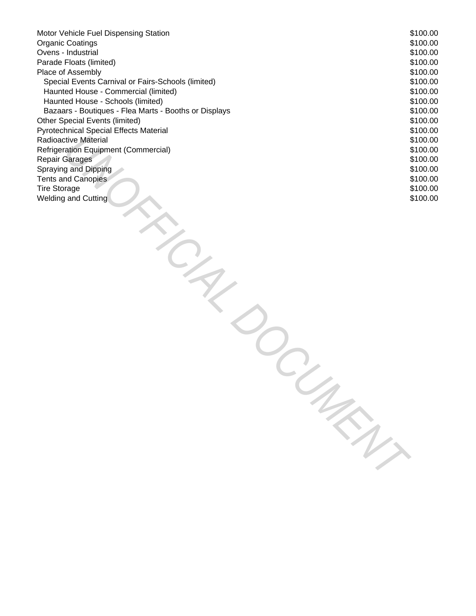| Motor Vehicle Fuel Dispensing Station                 | \$100.00 |
|-------------------------------------------------------|----------|
| <b>Organic Coatings</b>                               | \$100.00 |
| Ovens - Industrial                                    | \$100.00 |
| Parade Floats (limited)                               | \$100.00 |
| Place of Assembly                                     | \$100.00 |
| Special Events Carnival or Fairs-Schools (limited)    | \$100.00 |
| Haunted House - Commercial (limited)                  | \$100.00 |
| Haunted House - Schools (limited)                     | \$100.00 |
| Bazaars - Boutiques - Flea Marts - Booths or Displays | \$100.00 |
| Other Special Events (limited)                        | \$100.00 |
| Pyrotechnical Special Effects Material                | \$100.00 |
| <b>Radioactive Material</b>                           | \$100.00 |
| Refrigeration Equipment (Commercial)                  | \$100.00 |
| <b>Repair Garages</b>                                 | \$100.00 |
| Spraying and Dipping                                  | \$100.00 |
| <b>Tents and Canopies</b>                             | \$100.00 |
| <b>Tire Storage</b>                                   | \$100.00 |
| <b>Welding and Cutting</b>                            | \$100.00 |
|                                                       |          |
|                                                       |          |
|                                                       |          |
|                                                       |          |
|                                                       |          |
|                                                       |          |
|                                                       |          |
|                                                       |          |
|                                                       |          |
|                                                       |          |
|                                                       |          |
|                                                       |          |
|                                                       |          |
|                                                       |          |
|                                                       |          |
|                                                       |          |
|                                                       |          |
|                                                       |          |
|                                                       |          |
|                                                       |          |
|                                                       |          |
|                                                       |          |
|                                                       |          |
|                                                       |          |
|                                                       |          |
|                                                       |          |
|                                                       |          |
|                                                       |          |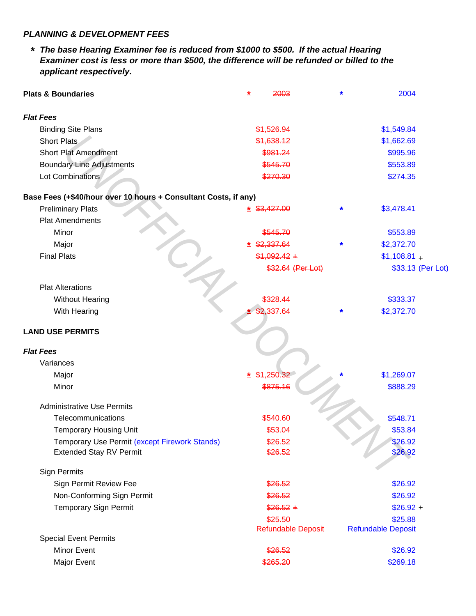### *PLANNING & DEVELOPMENT FEES*

*\* The base Hearing Examiner fee is reduced from \$1000 to \$500. If the actual Hearing Examiner cost is less or more than \$500, the difference will be refunded or billed to the applicant respectively.*

| <b>Plats &amp; Boundaries</b>                                   | 2003<br>≛                     | 2004<br>*                            |  |
|-----------------------------------------------------------------|-------------------------------|--------------------------------------|--|
| <b>Flat Fees</b>                                                |                               |                                      |  |
| <b>Binding Site Plans</b>                                       | \$1,526.94                    | \$1,549.84                           |  |
| Short Plats                                                     | \$1,638.12                    | \$1,662.69                           |  |
| <b>Short Plat Amendment</b>                                     | \$981.24                      | \$995.96                             |  |
| <b>Boundary Line Adjustments</b>                                | \$545.70                      | \$553.89                             |  |
| Lot Combinations                                                | \$270.30                      | \$274.35                             |  |
| Base Fees (+\$40/hour over 10 hours + Consultant Costs, if any) |                               |                                      |  |
| <b>Preliminary Plats</b>                                        | $*$ \$3,427.00                | \$3,478.41<br>*                      |  |
| <b>Plat Amendments</b>                                          |                               |                                      |  |
| Minor                                                           | \$545.70                      | \$553.89                             |  |
| Major                                                           | \$2,337.64                    | \$2,372.70                           |  |
| <b>Final Plats</b>                                              | $$1,092.42 +$                 | $$1,108.81 +$                        |  |
|                                                                 | \$32.64 (Per Lot)             | \$33.13 (Per Lot)                    |  |
| <b>Plat Alterations</b>                                         |                               |                                      |  |
| <b>Without Hearing</b>                                          | 328.44                        | \$333.37                             |  |
| With Hearing                                                    | 337.64                        | \$2,372.70<br>*                      |  |
| <b>LAND USE PERMITS</b>                                         |                               |                                      |  |
| <b>Flat Fees</b>                                                |                               |                                      |  |
| Variances                                                       |                               |                                      |  |
| Major                                                           | \$1,250.32                    | \$1,269.07                           |  |
| Minor                                                           | \$875.16                      | \$888.29                             |  |
| <b>Administrative Use Permits</b>                               |                               |                                      |  |
| Telecommunications                                              | \$540.60                      | \$548.71                             |  |
| <b>Temporary Housing Unit</b>                                   | \$53.04                       | \$53.84                              |  |
| Temporary Use Permit (except Firework Stands)                   | \$26.52                       | \$26.92                              |  |
| <b>Extended Stay RV Permit</b>                                  | \$26.52                       | \$26.92                              |  |
| <b>Sign Permits</b>                                             |                               |                                      |  |
| Sign Permit Review Fee                                          | \$26.52                       | \$26.92                              |  |
| Non-Conforming Sign Permit                                      | \$26.52                       | \$26.92                              |  |
| <b>Temporary Sign Permit</b>                                    | $$26.52 +$                    | $$26.92 +$                           |  |
|                                                                 | \$25.50<br>Refundable Deposit | \$25.88<br><b>Refundable Deposit</b> |  |
| <b>Special Event Permits</b>                                    |                               |                                      |  |
| <b>Minor Event</b>                                              | \$26.52                       | \$26.92                              |  |
| Major Event                                                     | \$265.20                      | \$269.18                             |  |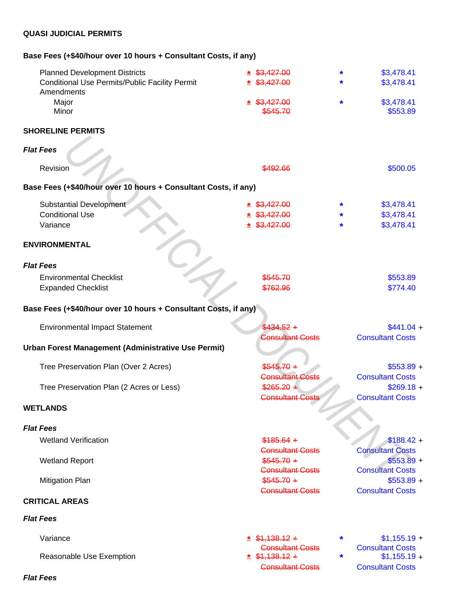# **QUASI JUDICIAL PERMITS**

# **Base Fees (+\$40/hour over 10 hours + Consultant Costs, if any)**

| <b>Planned Development Districts</b>                            | \$3.427.00                             |        | \$3,478.41                             |
|-----------------------------------------------------------------|----------------------------------------|--------|----------------------------------------|
| <b>Conditional Use Permits/Public Facility Permit</b>           | \$3.427.00                             |        | \$3,478.41                             |
| Amendments                                                      |                                        |        |                                        |
| Major                                                           | \$3,427,00                             | *      | \$3,478.41                             |
| Minor                                                           | \$545.70                               |        | \$553.89                               |
| <b>SHORELINE PERMITS</b>                                        |                                        |        |                                        |
| <b>Flat Fees</b>                                                |                                        |        |                                        |
| Revision                                                        | \$492.66                               |        | \$500.05                               |
| Base Fees (+\$40/hour over 10 hours + Consultant Costs, if any) |                                        |        |                                        |
|                                                                 |                                        |        |                                        |
| <b>Substantial Development</b><br><b>Conditional Use</b>        | \$3,427.00                             | *      | \$3,478.41                             |
| Variance                                                        | \$3,427.00<br>\$3,427.00               |        | \$3,478.41<br>\$3,478.41               |
|                                                                 |                                        |        |                                        |
| <b>ENVIRONMENTAL</b>                                            |                                        |        |                                        |
| <b>Flat Fees</b>                                                |                                        |        |                                        |
| <b>Environmental Checklist</b>                                  | \$545.70                               |        | \$553.89                               |
| <b>Expanded Checklist</b>                                       | \$762.96                               |        | \$774.40                               |
|                                                                 |                                        |        |                                        |
| Base Fees (+\$40/hour over 10 hours + Consultant Costs, if any) |                                        |        |                                        |
| <b>Environmental Impact Statement</b>                           | $$434.52 +$                            |        | $$441.04 +$                            |
|                                                                 | <b>Consultant Costs</b>                |        | <b>Consultant Costs</b>                |
| Urban Forest Management (Administrative Use Permit)             |                                        |        |                                        |
|                                                                 |                                        |        |                                        |
| Tree Preservation Plan (Over 2 Acres)                           | $$545.70 +$<br><b>Consultant Costs</b> |        | $$553.89 +$<br><b>Consultant Costs</b> |
| Tree Preservation Plan (2 Acres or Less)                        | $$265.20 +$                            |        | $$269.18 +$                            |
|                                                                 | <b>Consultant Costs</b>                |        | <b>Consultant Costs</b>                |
| <b>WETLANDS</b>                                                 |                                        |        |                                        |
|                                                                 |                                        |        |                                        |
| <b>Flat Fees</b>                                                |                                        |        |                                        |
| <b>Wetland Verification</b>                                     | $$185.64 +$                            |        | $$188.42 +$                            |
|                                                                 | <b>Consultant Costs</b>                |        | <b>Consultant Costs</b>                |
| <b>Wetland Report</b>                                           | $$545.70 +$                            |        | $$553.89 +$                            |
|                                                                 | <b>Consultant Costs</b>                |        | <b>Consultant Costs</b>                |
| <b>Mitigation Plan</b>                                          | $$545.70 +$<br><b>Consultant Costs</b> |        | $$553.89 +$<br><b>Consultant Costs</b> |
| <b>CRITICAL AREAS</b>                                           |                                        |        |                                        |
| <b>Flat Fees</b>                                                |                                        |        |                                        |
| Variance                                                        | $*$ \$1,138.12 +                       | $\ast$ | $$1,155.19 +$                          |
|                                                                 | <b>Consultant Costs</b>                |        | <b>Consultant Costs</b>                |
| Reasonable Use Exemption                                        | $*$ \$1,138.12 +                       | $\ast$ | $$1,155.19 +$                          |
|                                                                 | <b>Consultant Costs</b>                |        | <b>Consultant Costs</b>                |
| <b>Flat Fees</b>                                                |                                        |        |                                        |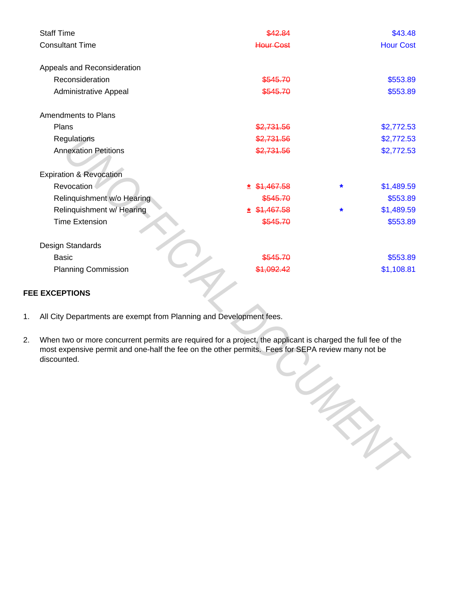| <b>Staff Time</b>                  | <u> 12.84</u>         |        | \$43.48          |
|------------------------------------|-----------------------|--------|------------------|
| <b>Consultant Time</b>             | <b>Hour Cost</b>      |        | <b>Hour Cost</b> |
|                                    |                       |        |                  |
| Appeals and Reconsideration        |                       |        |                  |
| Reconsideration                    | \$545.70              |        | \$553.89         |
| Administrative Appeal              | \$545.70              |        | \$553.89         |
| Amendments to Plans                |                       |        |                  |
| Plans                              | \$2,731.56            |        | \$2,772.53       |
| Regulations                        | \$2,731.56            |        | \$2,772.53       |
| <b>Annexation Petitions</b>        | \$2,731.56            |        | \$2,772.53       |
|                                    |                       |        |                  |
| <b>Expiration &amp; Revocation</b> |                       |        |                  |
| Revocation                         | \$1,467.58<br>*       | $\ast$ | \$1,489.59       |
| Relinquishment w/o Hearing         | \$545.70              |        | \$553.89         |
| Relinquishment w/ Hearing          | \$1,467.58<br>*       | *      | \$1,489.59       |
| <b>Time Extension</b>              | \$545.70              |        | \$553.89         |
| Design Standards                   |                       |        |                  |
| <b>Basic</b>                       | <del>\$545.70</del>   |        | \$553.89         |
|                                    |                       |        |                  |
| <b>Planning Commission</b>         | <del>\$1.092.42</del> |        | \$1,108.81       |

### **FEE EXCEPTIONS**

- 1. All City Departments are exempt from Planning and Development fees.
- 2. When two or more concurrent permits are required for a project, the applicant is charged the full fee of the most expensive permit and one-half the fee on the other permits. Fees for SEPA review many not be discounted.

PISEP<sub>I</sub>